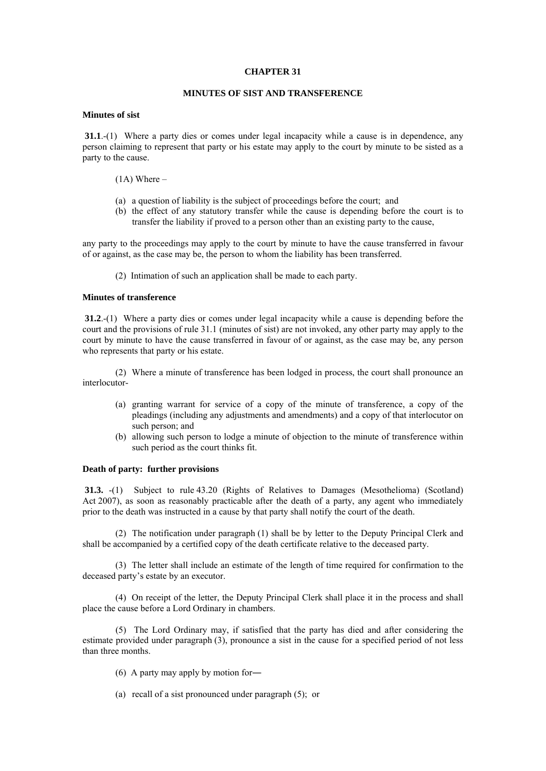### **CHAPTER 31**

# **MINUTES OF SIST AND TRANSFERENCE**

### **Minutes of sist**

**31.1**.-(1) Where a party dies or comes under legal incapacity while a cause is in dependence, any person claiming to represent that party or his estate may apply to the court by minute to be sisted as a party to the cause.

### $(1A)$  Where –

- (a) a question of liability is the subject of proceedings before the court; and
- (b) the effect of any statutory transfer while the cause is depending before the court is to transfer the liability if proved to a person other than an existing party to the cause,

any party to the proceedings may apply to the court by minute to have the cause transferred in favour of or against, as the case may be, the person to whom the liability has been transferred.

(2) Intimation of such an application shall be made to each party.

# **Minutes of transference**

**31.2**.-(1) Where a party dies or comes under legal incapacity while a cause is depending before the court and the provisions of rule 31.1 (minutes of sist) are not invoked, any other party may apply to the court by minute to have the cause transferred in favour of or against, as the case may be, any person who represents that party or his estate.

 (2) Where a minute of transference has been lodged in process, the court shall pronounce an interlocutor-

- (a) granting warrant for service of a copy of the minute of transference, a copy of the pleadings (including any adjustments and amendments) and a copy of that interlocutor on such person; and
- (b) allowing such person to lodge a minute of objection to the minute of transference within such period as the court thinks fit.

## **Death of party: further provisions**

**31.3.** -(1) Subject to rule 43.20 (Rights of Relatives to Damages (Mesothelioma) (Scotland) Act 2007), as soon as reasonably practicable after the death of a party, any agent who immediately prior to the death was instructed in a cause by that party shall notify the court of the death.

 (2) The notification under paragraph (1) shall be by letter to the Deputy Principal Clerk and shall be accompanied by a certified copy of the death certificate relative to the deceased party.

 (3) The letter shall include an estimate of the length of time required for confirmation to the deceased party's estate by an executor.

 (4) On receipt of the letter, the Deputy Principal Clerk shall place it in the process and shall place the cause before a Lord Ordinary in chambers.

 (5) The Lord Ordinary may, if satisfied that the party has died and after considering the estimate provided under paragraph (3), pronounce a sist in the cause for a specified period of not less than three months.

- (6) A party may apply by motion for―
- (a) recall of a sist pronounced under paragraph (5); or